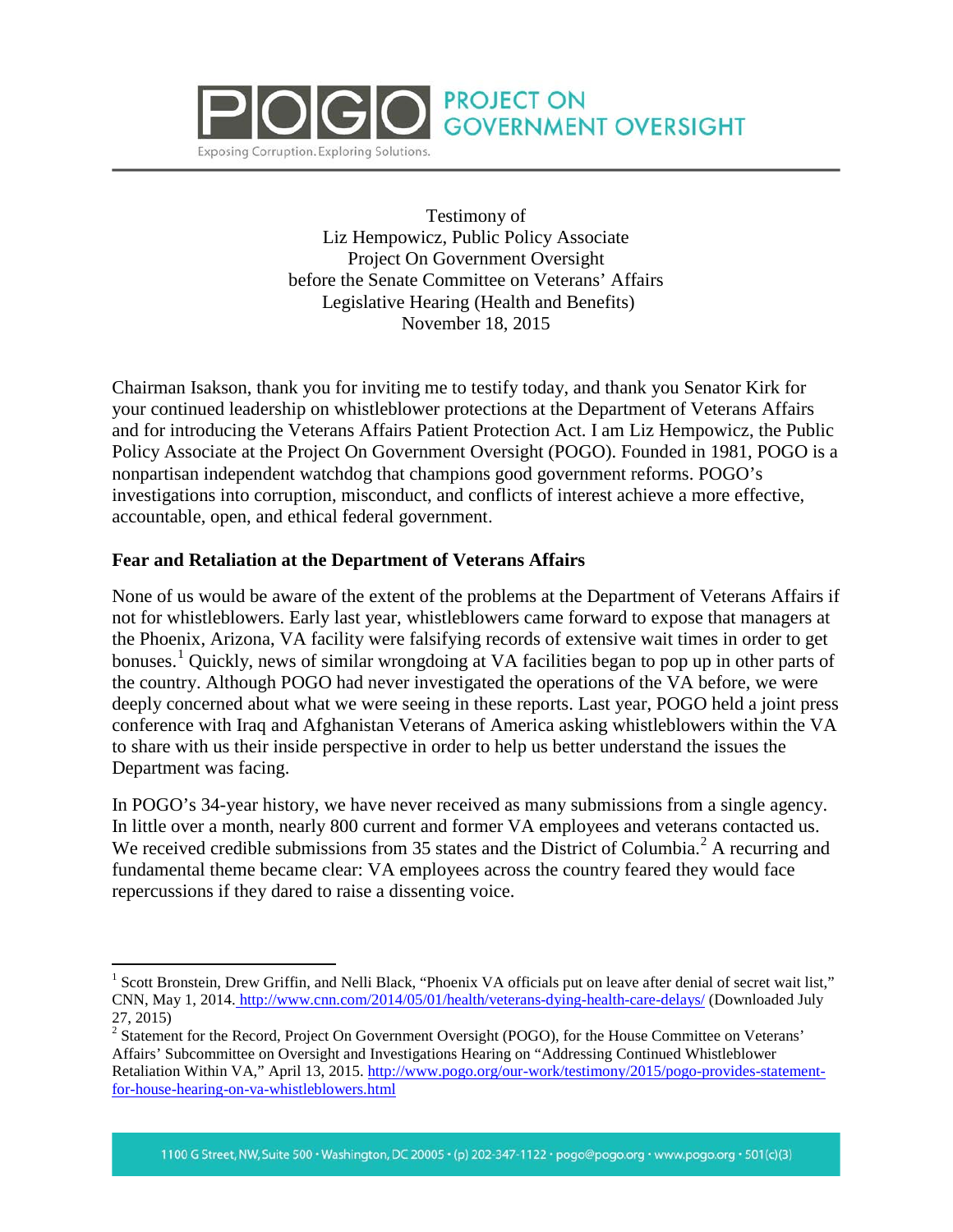

Testimony of Liz Hempowicz, Public Policy Associate Project On Government Oversight before the Senate Committee on Veterans' Affairs Legislative Hearing (Health and Benefits) November 18, 2015

**PROJECT ON** 

**GOVERNMENT OVERSIGHT** 

Chairman Isakson, thank you for inviting me to testify today, and thank you Senator Kirk for your continued leadership on whistleblower protections at the Department of Veterans Affairs and for introducing the Veterans Affairs Patient Protection Act. I am Liz Hempowicz, the Public Policy Associate at the Project On Government Oversight (POGO). Founded in 1981, POGO is a nonpartisan independent watchdog that champions good government reforms. POGO's investigations into corruption, misconduct, and conflicts of interest achieve a more effective, accountable, open, and ethical federal government.

## **Fear and Retaliation at the Department of Veterans Affairs**

None of us would be aware of the extent of the problems at the Department of Veterans Affairs if not for whistleblowers. Early last year, whistleblowers came forward to expose that managers at the Phoenix, Arizona, VA facility were falsifying records of extensive wait times in order to get bonuses.<sup>[1](#page-0-0)</sup> Quickly, news of similar wrongdoing at VA facilities began to pop up in other parts of the country. Although POGO had never investigated the operations of the VA before, we were deeply concerned about what we were seeing in these reports. Last year, POGO held a joint press conference with Iraq and Afghanistan Veterans of America asking whistleblowers within the VA to share with us their inside perspective in order to help us better understand the issues the Department was facing.

In POGO's 34-year history, we have never received as many submissions from a single agency. In little over a month, nearly 800 current and former VA employees and veterans contacted us. We received credible submissions from 35 states and the District of Columbia.<sup>[2](#page-0-1)</sup> A recurring and fundamental theme became clear: VA employees across the country feared they would face repercussions if they dared to raise a dissenting voice.

<span id="page-0-0"></span><sup>&</sup>lt;sup>1</sup> Scott Bronstein, Drew Griffin, and Nelli Black, "Phoenix VA officials put on leave after denial of secret wait list," CNN, May 1, 2014. <http://www.cnn.com/2014/05/01/health/veterans-dying-health-care-delays/> (Downloaded July

<span id="page-0-1"></span><sup>27, 2015)&</sup>lt;br><sup>2</sup> Statement for the Record, Project On Government Oversight (POGO), for the House Committee on Veterans' Affairs' Subcommittee on Oversight and Investigations Hearing on "Addressing Continued Whistleblower Retaliation Within VA," April 13, 2015. [http://www.pogo.org/our-work/testimony/2015/pogo-provides-statement](http://www.pogo.org/our-work/testimony/2015/pogo-provides-statement-for-house-hearing-on-va-whistleblowers.html)[for-house-hearing-on-va-whistleblowers.html](http://www.pogo.org/our-work/testimony/2015/pogo-provides-statement-for-house-hearing-on-va-whistleblowers.html)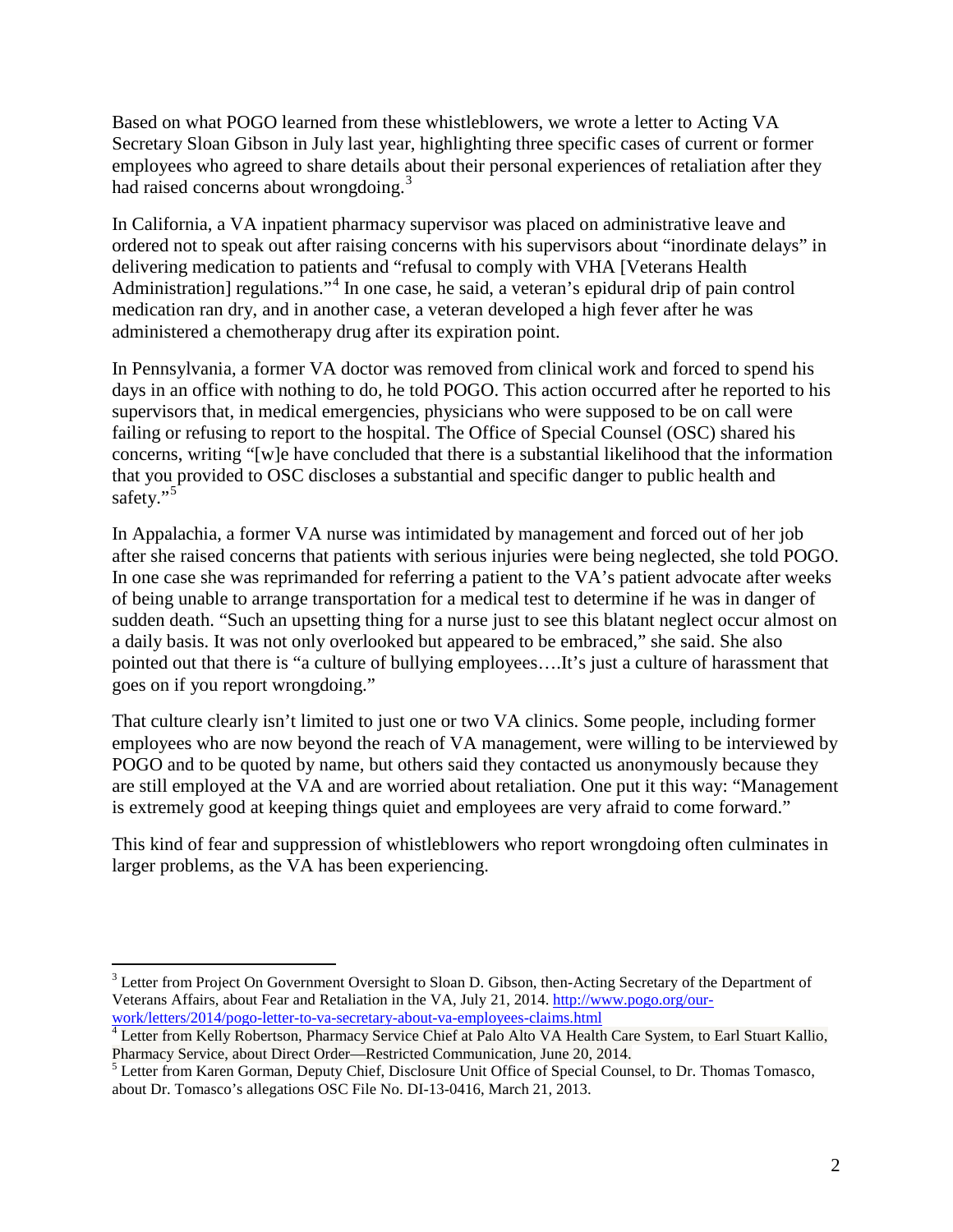Based on what POGO learned from these whistleblowers, we wrote a letter to Acting VA Secretary Sloan Gibson in July last year, highlighting three specific cases of current or former employees who agreed to share details about their personal experiences of retaliation after they had raised concerns about wrongdoing.<sup>[3](#page-1-0)</sup>

In California, a VA inpatient pharmacy supervisor was placed on administrative leave and ordered not to speak out after raising concerns with his supervisors about "inordinate delays" in delivering medication to patients and "refusal to comply with VHA [Veterans Health Administration] regulations."<sup>[4](#page-1-1)</sup> In one case, he said, a veteran's epidural drip of pain control medication ran dry, and in another case, a veteran developed a high fever after he was administered a chemotherapy drug after its expiration point.

In Pennsylvania, a former VA doctor was removed from clinical work and forced to spend his days in an office with nothing to do, he told POGO. This action occurred after he reported to his supervisors that, in medical emergencies, physicians who were supposed to be on call were failing or refusing to report to the hospital. The Office of Special Counsel (OSC) shared his concerns, writing "[w]e have concluded that there is a substantial likelihood that the information that you provided to OSC discloses a substantial and specific danger to public health and safety."<sup>[5](#page-1-2)</sup>

In Appalachia, a former VA nurse was intimidated by management and forced out of her job after she raised concerns that patients with serious injuries were being neglected, she told POGO. In one case she was reprimanded for referring a patient to the VA's patient advocate after weeks of being unable to arrange transportation for a medical test to determine if he was in danger of sudden death. "Such an upsetting thing for a nurse just to see this blatant neglect occur almost on a daily basis. It was not only overlooked but appeared to be embraced," she said. She also pointed out that there is "a culture of bullying employees….It's just a culture of harassment that goes on if you report wrongdoing."

That culture clearly isn't limited to just one or two VA clinics. Some people, including former employees who are now beyond the reach of VA management, were willing to be interviewed by POGO and to be quoted by name, but others said they contacted us anonymously because they are still employed at the VA and are worried about retaliation. One put it this way: "Management is extremely good at keeping things quiet and employees are very afraid to come forward."

This kind of fear and suppression of whistleblowers who report wrongdoing often culminates in larger problems, as the VA has been experiencing.

<span id="page-1-0"></span><sup>&</sup>lt;sup>3</sup> Letter from Project On Government Oversight to Sloan D. Gibson, then-Acting Secretary of the Department of Veterans Affairs, about Fear and Retaliation in the VA, July 21, 2014. http://www.pogo.org/our-<br>work/letters/2014/pogo-letter-to-va-secretary-about-va-employees-claims.html

<span id="page-1-1"></span><sup>&</sup>lt;sup>4</sup> Letter from Kelly Robertson, Pharmacy Service Chief at Palo Alto VA Health Care System, to Earl Stuart Kallio, Pharmacy Service, about Direct Order—Restricted Communication, June 20, 2014.

<span id="page-1-2"></span> $<sup>5</sup>$  Letter from Karen Gorman, Deputy Chief, Disclosure Unit Office of Special Counsel, to Dr. Thomas Tomasco,</sup> about Dr. Tomasco's allegations OSC File No. DI-13-0416, March 21, 2013.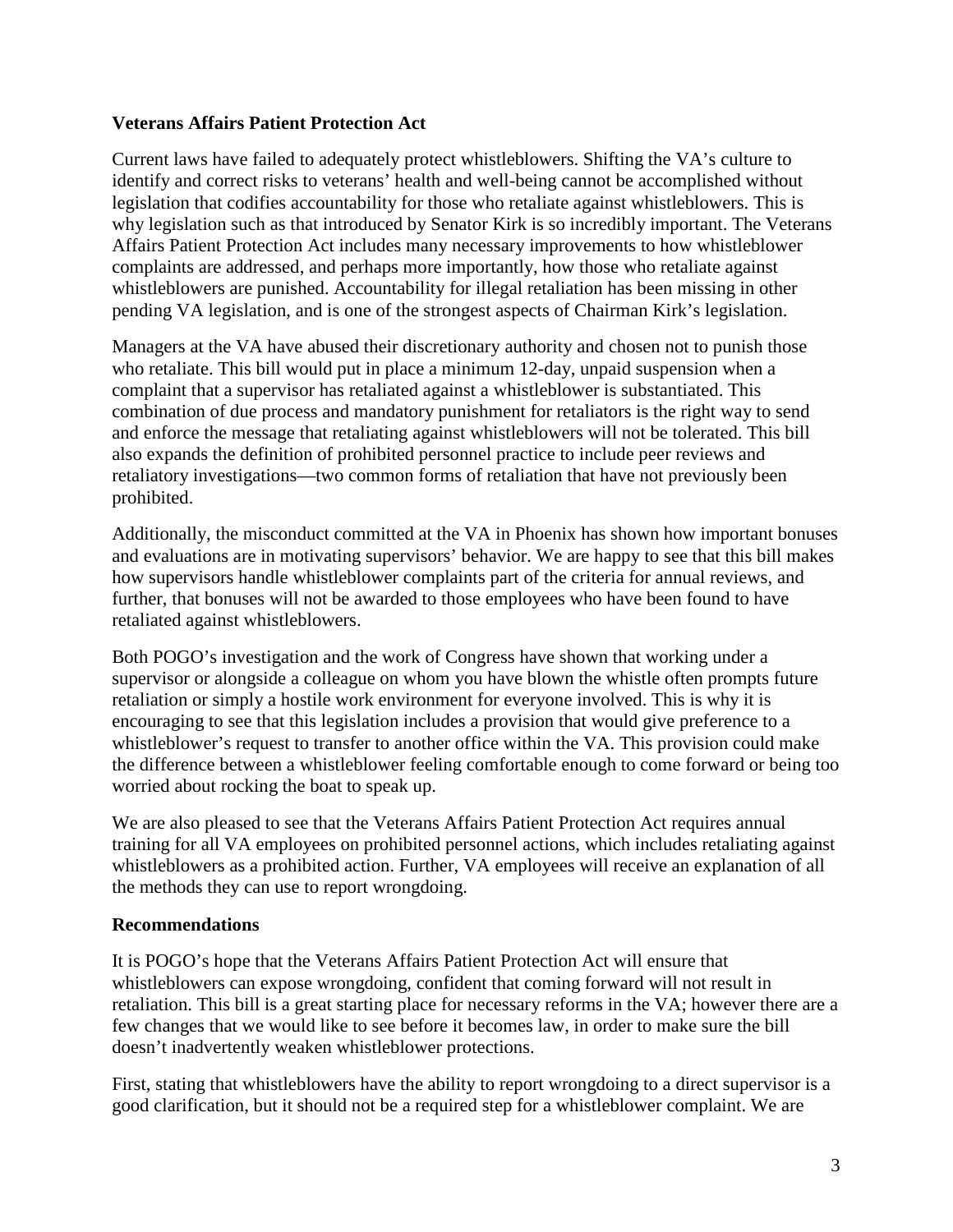## **Veterans Affairs Patient Protection Act**

Current laws have failed to adequately protect whistleblowers. Shifting the VA's culture to identify and correct risks to veterans' health and well-being cannot be accomplished without legislation that codifies accountability for those who retaliate against whistleblowers. This is why legislation such as that introduced by Senator Kirk is so incredibly important. The Veterans Affairs Patient Protection Act includes many necessary improvements to how whistleblower complaints are addressed, and perhaps more importantly, how those who retaliate against whistleblowers are punished. Accountability for illegal retaliation has been missing in other pending VA legislation, and is one of the strongest aspects of Chairman Kirk's legislation.

Managers at the VA have abused their discretionary authority and chosen not to punish those who retaliate. This bill would put in place a minimum 12-day, unpaid suspension when a complaint that a supervisor has retaliated against a whistleblower is substantiated. This combination of due process and mandatory punishment for retaliators is the right way to send and enforce the message that retaliating against whistleblowers will not be tolerated. This bill also expands the definition of prohibited personnel practice to include peer reviews and retaliatory investigations—two common forms of retaliation that have not previously been prohibited.

Additionally, the misconduct committed at the VA in Phoenix has shown how important bonuses and evaluations are in motivating supervisors' behavior. We are happy to see that this bill makes how supervisors handle whistleblower complaints part of the criteria for annual reviews, and further, that bonuses will not be awarded to those employees who have been found to have retaliated against whistleblowers.

Both POGO's investigation and the work of Congress have shown that working under a supervisor or alongside a colleague on whom you have blown the whistle often prompts future retaliation or simply a hostile work environment for everyone involved. This is why it is encouraging to see that this legislation includes a provision that would give preference to a whistleblower's request to transfer to another office within the VA. This provision could make the difference between a whistleblower feeling comfortable enough to come forward or being too worried about rocking the boat to speak up.

We are also pleased to see that the Veterans Affairs Patient Protection Act requires annual training for all VA employees on prohibited personnel actions, which includes retaliating against whistleblowers as a prohibited action. Further, VA employees will receive an explanation of all the methods they can use to report wrongdoing.

## **Recommendations**

It is POGO's hope that the Veterans Affairs Patient Protection Act will ensure that whistleblowers can expose wrongdoing, confident that coming forward will not result in retaliation. This bill is a great starting place for necessary reforms in the VA; however there are a few changes that we would like to see before it becomes law, in order to make sure the bill doesn't inadvertently weaken whistleblower protections.

First, stating that whistleblowers have the ability to report wrongdoing to a direct supervisor is a good clarification, but it should not be a required step for a whistleblower complaint. We are